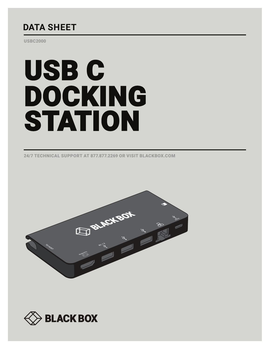## **DATA SHEET**

USBC2000

# USB C DOCKING STATION

24/7 TECHNICAL SUPPORT AT 877.877.2269 OR VISIT BLACKBOX.COM



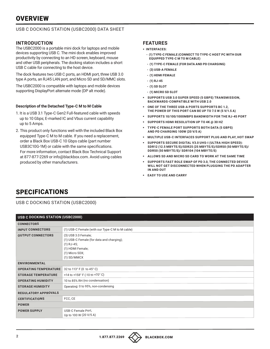## **OVERVIEW**

#### USB C DOCKING STATION (USBC2000) DATA SHEET

#### **INTRODUCTION**

The USBC2000 is a portable mini dock for laptops and mobile devices supporting USB C. The mini dock enables improved productivity by connecting to an HD screen, keyboard, mouse and other USB peripherals. The docking station includes a short USB C cable for connecting to the host device.

The dock features two USB C ports, an HDMI port, three USB 3.0 type A ports, an RJ45 LAN port, and Micro SD and SD/MMC slots.

The USBC2000 is compatible with laptops and mobile devices supporting DisplayPort alternate mode (DP alt mode).

#### **Description of the Detached Type-C M to M Cable**

- 1. It is a USB 3.1 Type-C Gen2 Full-featured cable with speeds up to 10 Gbps; E-marked IC and Vbus current capability up to 5 Amps.
- 2. This product only functions well with the included Black Box equipped Type-C M to M cable. If you need a replacement, order a Black Box USB-C 10 Gbps cable (part number USB3C10G-1M) or cable with the same specifications. For more information, contact Black Box Technical Support at 877-877-2269 or info@blackbox.com. Avoid using cables produced by other manufacturers.

#### **FEATURES**

- § **INTERFACES:**
	- **(1) TYPE-C FEMALE (CONNECT TO TYPE-C HOST PC WITH OUR EQUIPPED TYPE-C M TO M CABLE)**
	- **(1) TYPE-C FEMALE (FOR DATA AND PD CHARGING)**
	- **(3) USB-A FEMALE**
	- **(1) HDMI FEMALE**
	- **(1) RJ-45**
	- **(1) SD SLOT**
	- **(1) MICRO SD SLOT**
- § **SUPPORTS USB 3.0 SUPER SPEED (5 GBPS) TRANSMISSION, BACKWARDS-COMPATIBLE WITH USB 2.0**
- § **ONE OF THE THREE USB-A PORTS SUPPORTS BC 1.2, THE POWER OF THIS PORT CAN BE UP TO 7.5 W (5 V/1.5 A)**
- § **SUPPORTS 10/100/1000MBPS BANDWIDTH FOR THE RJ-45 PORT**
- § **SUPPORTS HDMI RESOLUTION UP TO 4K @ 30 HZ**
- § **TYPE-C FEMALE PORT SUPPORTS BOTH DATA (5 GBPS) AND PD CHARGING 100W (20 V/5 A)**
- § **MULTIPLE USB-C INTERFACES SUPPORT PLUG AND PLAY, HOT SWAP**
- § **SUPPORTS SECURE DIGITAL V3.0 UHS-I (ULTRA HIGH SPEED): SDR12 (12.5 MBYTE/S)/SDR25 (25 MBYTE/S)/SDR50 (50 MBYTE/S)/ DDR50 (50 MBYTE/S)/ SDR104 (104 MBYTE/S)**
- § **ALLOWS SD AND MICRO SD CARD TO WORK AT THE SAME TIME**
- § **SUPPORTS FAST ROLE SWAP OF PD 3.0, THE CONNECTED DEVICE WILL NOT GET DISCONNECTED WHEN PLUGGING THE PD ADAPTER IN AND OUT**
- § **EASY TO USE AND CARRY**

## SPECIFICATIONS

USB C DOCKING STATION (USBC2000)

| USB C DOCKING STATION (USBC2000) |                                                                                                                                         |  |
|----------------------------------|-----------------------------------------------------------------------------------------------------------------------------------------|--|
| <b>CONNECTORS</b>                |                                                                                                                                         |  |
| <b>INPUT CONNECTORS</b>          | (1) USB-C Female (with our Type-C M to M cable)                                                                                         |  |
| <b>OUTPUT CONNECTORS</b>         | (3) USB 3.0 Female;<br>(1) USB-C Female (for data and charging);<br>$(1)$ RJ-45;<br>(1) HDMI Female;<br>(1) Micro SDX;<br>$(1)$ SD/MMCX |  |
| <b>ENVIRONMENTAL</b>             |                                                                                                                                         |  |
| <b>OPERATING TEMPERATURE</b>     | 32 to 113° F (0 to 45° C)                                                                                                               |  |
| <b>STORAGE TEMPERATURE</b>       | +14 to +158° F (-10 to +70° C)                                                                                                          |  |
| <b>OPERATING HUMIDITY</b>        | 10 to 85% RH (no condensation)                                                                                                          |  |
| <b>STORAGE HUMIDITY</b>          | Operating: 0 to 95%, non-condensing                                                                                                     |  |
| <b>REGULATORY APPROVALS</b>      |                                                                                                                                         |  |
| <b>CERTIFICATIONS</b>            | FCC, CE                                                                                                                                 |  |
| <b>POWER</b>                     |                                                                                                                                         |  |
| <b>POWER SUPPLY</b>              | USB-C Female Port,<br>Up to 100 W (20 V/5 A)                                                                                            |  |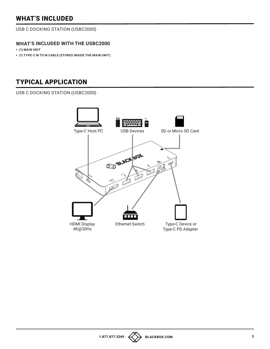## WHAT'S INCLUDED

USB C DOCKING STATION (USBC2000)

### **WHAT'S INCLUDED WITH THE USBC2000**

- § **(1) MAIN UNIT**
- § **(1) TYPE-C M TO M CABLE (STORES INSIDE THE MAIN UNIT)**

## TYPICAL APPLICATION

USB C DOCKING STATION (USBC2000)



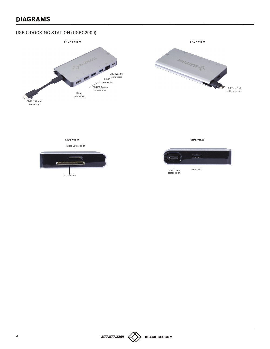## DIAGRAMS

## USB C DOCKING STATION (USBC2000)





**SIDE VIEW SIDE VIEW** Micro SD card slot œ SD card slot